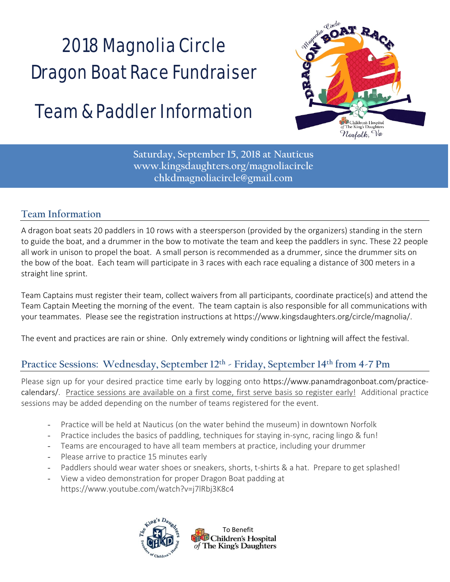## 2018 Magnolia Circle Dragon Boat Race Fundraiser

### Team & Paddler Information



**Saturday, September 15, 2018 at Nauticus www.kingsdaughters.org/magnoliacircle chkdmagnoliacircle@gmail.com** 

#### **Team Information**

A dragon boat seats 20 paddlers in 10 rows with a steersperson (provided by the organizers) standing in the stern to guide the boat, and a drummer in the bow to motivate the team and keep the paddlers in sync. These 22 people all work in unison to propel the boat. A small person is recommended as a drummer, since the drummer sits on the bow of the boat. Each team will participate in 3 races with each race equaling a distance of 300 meters in a straight line sprint.

Team Captains must register their team, collect waivers from all participants, coordinate practice(s) and attend the Team Captain Meeting the morning of the event. The team captain is also responsible for all communications with your teammates. Please see the registration instructions at https://www.kingsdaughters.org/circle/magnolia/.

The event and practices are rain or shine. Only extremely windy conditions or lightning will affect the festival.

#### **Practice Sessions: Wednesday, September 12th - Friday, September 14th from 4-7 Pm**

Please sign up for your desired practice time early by logging onto https://www.panamdragonboat.com/practice‐ calendars/. Practice sessions are available on a first come, first serve basis so register early! Additional practice sessions may be added depending on the number of teams registered for the event.

- Practice will be held at Nauticus (on the water behind the museum) in downtown Norfolk
- Practice includes the basics of paddling, techniques for staying in-sync, racing lingo & fun!
- Teams are encouraged to have all team members at practice, including your drummer
- Please arrive to practice 15 minutes early
- Paddlers should wear water shoes or sneakers, shorts, t-shirts & a hat. Prepare to get splashed!
- View a video demonstration for proper Dragon Boat padding at https://www.youtube.com/watch?v=j7lRbj3K8c4



To Benefit Children's Hospital of The King's Daughters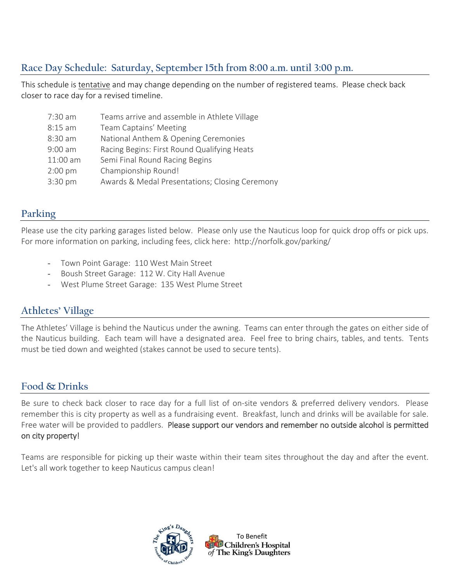#### **Race Day Schedule: Saturday, September 15th from 8:00 a.m. until 3:00 p.m.**

This schedule is tentative and may change depending on the number of registered teams. Please check back closer to race day for a revised timeline.

| 7:30 am   | Teams arrive and assemble in Athlete Village   |
|-----------|------------------------------------------------|
| $8:15$ am | Team Captains' Meeting                         |
| 8:30 am   | National Anthem & Opening Ceremonies           |
| $9:00$ am | Racing Begins: First Round Qualifying Heats    |
| 11:00 am  | Semi Final Round Racing Begins                 |
| $2:00$ pm | Championship Round!                            |
| 3:30 pm   | Awards & Medal Presentations; Closing Ceremony |

#### **Parking**

Please use the city parking garages listed below. Please only use the Nauticus loop for quick drop offs or pick ups. For more information on parking, including fees, click here: http://norfolk.gov/parking/

- Town Point Garage: 110 West Main Street
- Boush Street Garage: 112 W. City Hall Avenue
- West Plume Street Garage: 135 West Plume Street

#### **Athletes' Village**

The Athletes' Village is behind the Nauticus under the awning. Teams can enter through the gates on either side of the Nauticus building. Each team will have a designated area. Feel free to bring chairs, tables, and tents. Tents must be tied down and weighted (stakes cannot be used to secure tents).

#### **Food & Drinks**

Be sure to check back closer to race day for a full list of on-site vendors & preferred delivery vendors. Please remember this is city property as well as a fundraising event. Breakfast, lunch and drinks will be available for sale. Free water will be provided to paddlers. Please support our vendors and remember no outside alcohol is permitted on city property!

Teams are responsible for picking up their waste within their team sites throughout the day and after the event. Let's all work together to keep Nauticus campus clean!

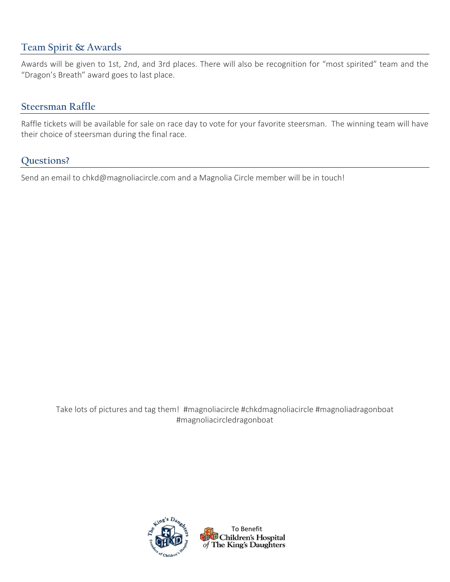#### **Team Spirit & Awards**

Awards will be given to 1st, 2nd, and 3rd places. There will also be recognition for "most spirited" team and the "Dragon's Breath" award goes to last place.

#### **Steersman Raffle**

Raffle tickets will be available for sale on race day to vote for your favorite steersman. The winning team will have their choice of steersman during the final race.

#### **Questions?**

Send an email to chkd@magnoliacircle.com and a Magnolia Circle member will be in touch!

Take lots of pictures and tag them! #magnoliacircle #chkdmagnoliacircle #magnoliadragonboat #magnoliacircledragonboat

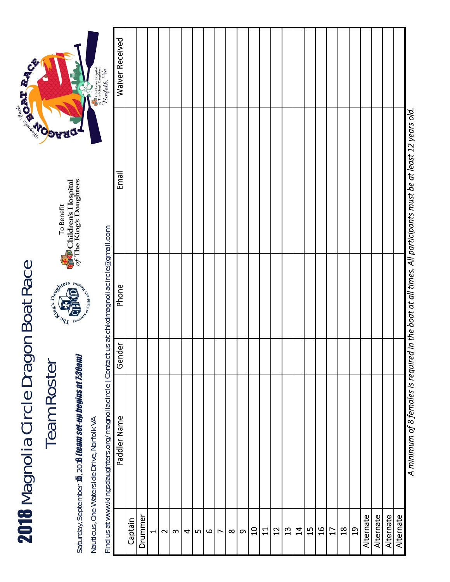# 2018 Magnolia Circle Dragon Boat Race 2018 Magnolia Circle Dragon Boat Race

# Team Roster

Saturday, September 15, 201**8** *Iteam set-up begins at 1:30aml* Saturday, September 15, 201**8** *(team set-up begins at 7:30am)* 



Find us at www.kingsdaughters.org/magnoliacircle | Contact us at chkdmagnoliacircle@gmail.com Find us at www.kingsdaughters.org/magnoliacircle | Contact us at chkdmagnoliacircle@gmail.com

| <b>Waiver Received</b> |         |         |                |        |                           |   |     |              |                |          |          |                |       |    |                                                                                                                                                                                                                                                                                                                                                                                                                                                                                    |                |                |                |    |                |                  |           |           |           |           |
|------------------------|---------|---------|----------------|--------|---------------------------|---|-----|--------------|----------------|----------|----------|----------------|-------|----|------------------------------------------------------------------------------------------------------------------------------------------------------------------------------------------------------------------------------------------------------------------------------------------------------------------------------------------------------------------------------------------------------------------------------------------------------------------------------------|----------------|----------------|----------------|----|----------------|------------------|-----------|-----------|-----------|-----------|
| Email                  |         |         |                |        |                           |   |     |              |                |          |          |                |       |    |                                                                                                                                                                                                                                                                                                                                                                                                                                                                                    |                |                |                |    |                |                  |           |           |           |           |
| Phone                  |         |         |                |        |                           |   |     |              |                |          |          |                |       |    |                                                                                                                                                                                                                                                                                                                                                                                                                                                                                    |                |                |                |    |                |                  |           |           |           |           |
| Gender                 |         |         |                |        |                           |   |     |              |                |          |          |                |       |    |                                                                                                                                                                                                                                                                                                                                                                                                                                                                                    |                |                |                |    |                |                  |           |           |           |           |
| Paddler Name           |         |         |                |        |                           |   |     |              |                |          |          |                |       |    |                                                                                                                                                                                                                                                                                                                                                                                                                                                                                    |                |                |                |    |                |                  |           |           |           |           |
|                        | Captain | Drummer | $\blacksquare$ | $\sim$ | $\boldsymbol{\mathsf{m}}$ | 4 | LŊ, | $\mathbf{o}$ | $\overline{ }$ | $\infty$ | $\sigma$ | $\overline{a}$ | $\Xi$ | 12 | $\mathfrak{L}% _{0}\!\left( \mathcal{N}_{0}\right) ^{1}\!\left( \mathcal{N}_{0}\right) ^{1}\!\left( \mathcal{N}_{0}\right) ^{1}\!\left( \mathcal{N}_{0}\right) ^{1}\!\left( \mathcal{N}_{0}\right) ^{1}\!\left( \mathcal{N}_{0}\right) ^{1}\!\left( \mathcal{N}_{0}\right) ^{1}\!\left( \mathcal{N}_{0}\right) ^{1}\!\left( \mathcal{N}_{0}\right) ^{1}\!\left( \mathcal{N}_{0}\right) ^{1}\!\left( \mathcal{N}_{0}\right) ^{1}\!\left( \mathcal{N}_{0}\right) ^{1}\!\left( \math$ | $\overline{4}$ | $\frac{15}{1}$ | $\frac{16}{1}$ | 17 | $\frac{8}{18}$ | ິ $\overline{a}$ | Alternate | Alternate | Alternate | Alternate |

A minimum of 8 females is required in the boat at all times. All participants must be at least 12 years old. *A minimum of 8 females is required in the boat at all times. All participants must be at least 12 years old.*



To Benefit

Sawhers River

嘆

of Children's

**To Benefit**<br>Children's Hospital<br>of The King's Daughters